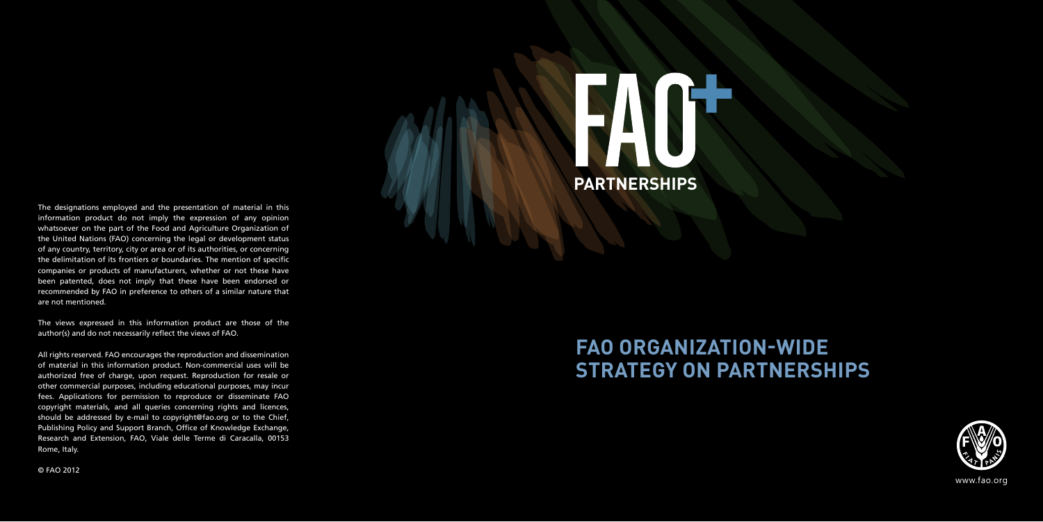# **PARTNERSHIPS**

### **FAO ORGANIZATION-WIDE STRATEGY ON PARTNERSHIPS**



www.fao.org

The designations employed and the presentation of material in this information product do not imply the expression of any opinion whatsoever on the part of the Food and Agriculture Organization of the United Nations (FAO) concerning the legal or development status of any country, territory, city or area or of its authorities, or concerning the delimitation of its frontiers or boundaries. The mention of specific companies or products of manufacturers, whether or not these have been patented, does not imply that these have been endorsed or recommended by FAO in preference to others of a similar nature that are not mentioned.

The views expressed in this information product are those of the author(s) and do not necessarily reflect the views of FAO.

All rights reserved. FAO encourages the reproduction and dissemination of material in this information product. Non-commercial uses will be authorized free of charge, upon request. Reproduction for resale or other commercial purposes, including educational purposes, may incur fees. Applications for permission to reproduce or disseminate FAO copyright materials, and all queries concerning rights and licences, should be addressed by e-mail to copyright@fao.org or to the Chief, Publishing Policy and Support Branch, Office of Knowledge Exchange, Research and Extension, FAO, Viale delle Terme di Caracalla, 00153 Rome, Italy.

#### © FAO 2012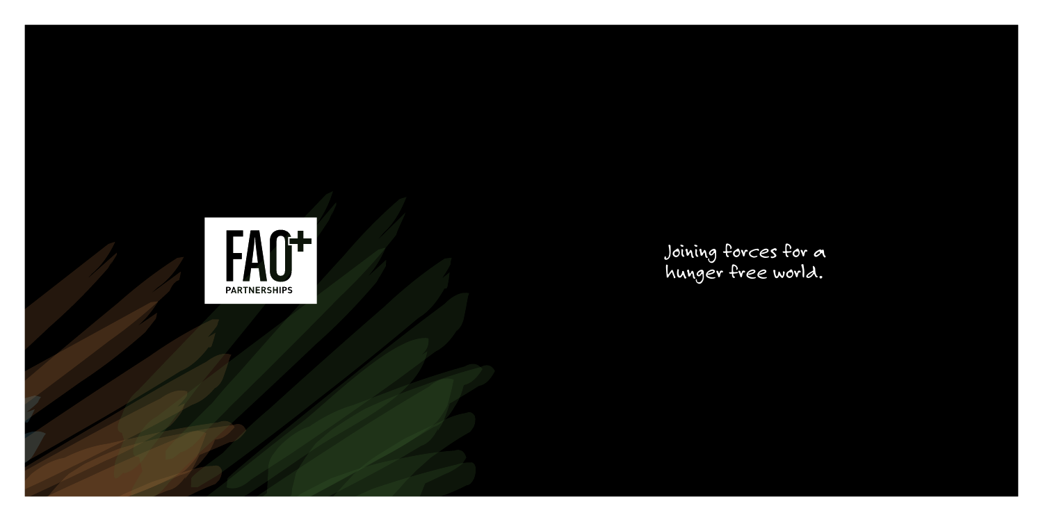

Joining forces for a hunger free world.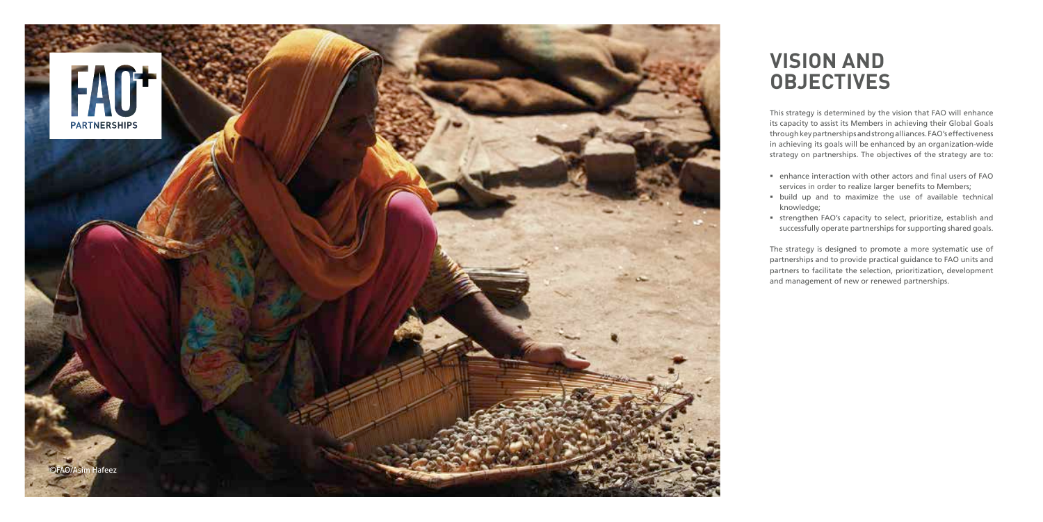This strategy is determined by the vision that FAO will enhance its capacity to assist its Members in achieving their Global Goals through key partnerships and strong alliances. FAO's effectiveness in achieving its goals will be enhanced by an organization -wide strategy on partnerships. The objectives of the strategy are to:

- 
- build up and to maximize the use of available technical knowledge;

- enhance interaction with other actors and final users of FAO services in order to realize larger benefits to Members;
- strengthen FAO's capacity to select, prioritize, establish and successfully operate partnerships for supporting shared goals.

The strategy is designed to promote a more systematic use of partnerships and to provide practical guidance to FAO units and partners to facilitate the selection, prioritization, development and management of new or renewed partnerships.

# **VISION AND OBJECTIVES**

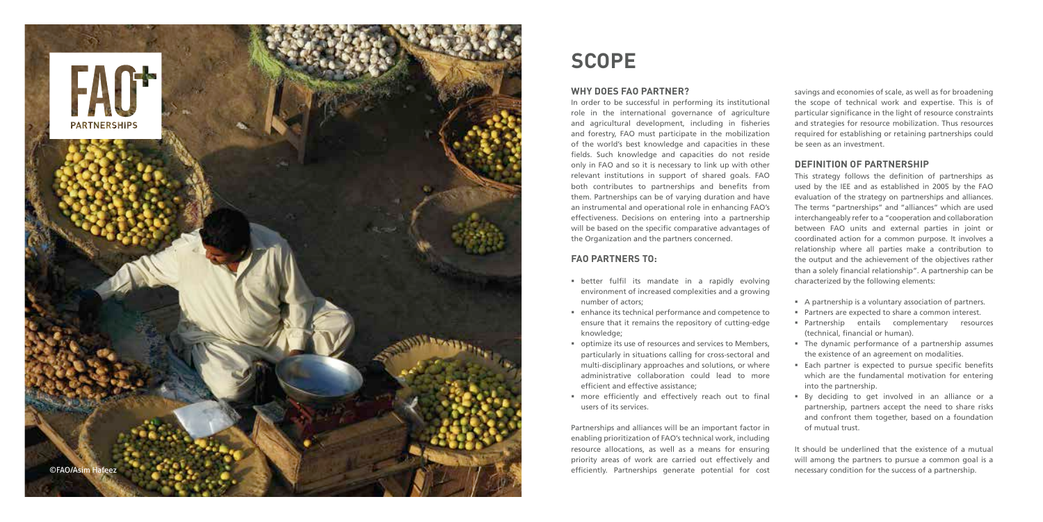#### **Why does FAO partner ?**

In order to be successful in performing its institutional role in the international governance of agriculture and agricultural development, including in fisheries and forestry, FAO must participate in the mobilization of the world's best knowledge and capacities in these fields. Such knowledge and capacities do not reside only in FAO and so it is necessary to link up with other relevant institutions in support of shared goals. FAO both contributes to partnerships and benefits from them. Partnerships can be of varying duration and have an instrumental and operational role in enhancing FAO's effectiveness. Decisions on entering into a partnership will be based on the specific comparative advantages of the Organization and the partners concerned. **SCOPE**<br> **In order to be successful in performing its institutional**<br>
note to be successful in performing its institutional<br>
role in the international governance of agriculture<br>
role in the international governance of agri

#### **FAO partners to :**

- better fulfil its mandate in a rapidly evolving environment of increased complexities and a growing number of actors;
- enhance its technical performance and competence to ensure that it remains the repository of cutting-edge knowledge;
- optimize its use of resources and services to Members, particularly in situations calling for cross-sectoral and multi-disciplinary approaches and solutions, or where administrative collaboration could lead to more efficient and effective assistance;
- more efficiently and effectively reach out to final users of its services.

Partnerships and alliances will be an important factor in enabling prioritization of FAO's technical work, including resource allocations, as well as a means for ensuring priority areas of work are carried out effectively and

savings and economies of scale, as well as for broadening the scope of technical work and expertise. This is of particular significance in the light of resource constraints and strategies for resource mobilization. Thus resources required for establishing or retaining partnerships could be seen as an investment.

#### **Definition of partnership**

This strategy follows the definition of partnerships as used by the IEE and as established in 2005 by the FAO evaluation of the strategy on partnerships and alliances. The terms "partnerships" and "alliances" which are used interchangeably refer to a "cooperation and collaboration between FAO units and external parties in joint or coordinated action for a common purpose. It involves a relationship where all parties make a contribution to the output and the achievement of the objectives rather than a solely financial relationship". A partnership can be characterized by the following elements:

- A partnership is a voluntary association of partners.
- **Partners are expected to share a common interest.**
- **Partnership entails complementary resources** (technical, financial or human).
- The dynamic performance of a partnership assumes the existence of an agreement on modalities.
- Each partner is expected to pursue specific benefits which are the fundamental motivation for entering into the partnership.
- By deciding to get involved in an alliance or a partnership, partners accept the need to share risks and confront them together, based on a foundation of mutual trust.

It should be underlined that the existence of a mutual will among the partners to pursue a common goal is a

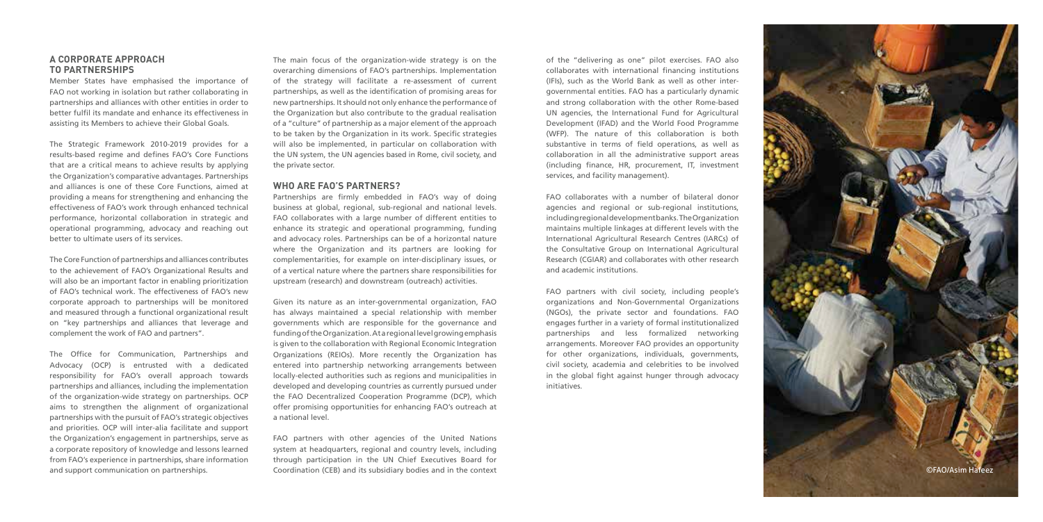#### **A corporate approach to partnerships**

Member States have emphasised the importance of FAO not working in isolation but rather collaborating in partnerships and alliances with other entities in order to better fulfil its mandate and enhance its effectiveness in assisting its Members to achieve their Global Goals.

The Strategic Framework 2010-2019 provides for a results-based regime and defines FAO's Core Functions that are a critical means to achieve results by applying the Organization's comparative advantages. Partnerships and alliances is one of these Core Functions, aimed at providing a means for strengthening and enhancing the effectiveness of FAO's work through enhanced technical performance, horizontal collaboration in strategic and operational programming, advocacy and reaching out better to ultimate users of its services.

The Core Function of partnerships and alliances contributes to the achievement of FAO's Organizational Results and will also be an important factor in enabling prioritization of FAO's technical work. The effectiveness of FAO's new corporate approach to partnerships will be monitored and measured through a functional organizational result on "key partnerships and alliances that leverage and complement the work of FAO and partners".

The Office for Communication, Partnerships and Advocacy (OCP) is entrusted with a dedicated responsibility for FAO's overall approach towards partnerships and alliances, including the implementation of the organization-wide strategy on partnerships. OCP aims to strengthen the alignment of organizational partnerships with the pursuit of FAO's strategic objectives and priorities. OCP will inter-alia facilitate and support the Organization's engagement in partnerships, serve as a corporate repository of knowledge and lessons learned from FAO's experience in partnerships, share information and support communication on partnerships.

The main focus of the organization-wide strategy is on the overarching dimensions of FAO's partnerships. Implementation of the strategy will facilitate a re-assessment of current partnerships, as well as the identification of promising areas for new partnerships. It should not only enhance the performance of the Organization but also contribute to the gradual realisation of a "culture" of partnership as a major element of the approach to be taken by the Organization in its work. Specific strategies will also be implemented, in particular on collaboration with the UN system, the UN agencies based in Rome, civil society, and the private sector.

#### **Who are FAO's partners?**

Partnerships are firmly embedded in FAO's way of doing business at global, regional, sub-regional and national levels. FAO collaborates with a large number of different entities to enhance its strategic and operational programming, funding and advocacy roles. Partnerships can be of a horizontal nature where the Organization and its partners are looking for complementarities, for example on inter-disciplinary issues, or of a vertical nature where the partners share responsibilities for upstream (research) and downstream (outreach) activities.

Given its nature as an inter-governmental organization, FAO has always maintained a special relationship with member governments which are responsible for the governance and funding of the Organization. At a regional level growing emphasis is given to the collaboration with Regional Economic Integration Organizations (REIOs). More recently the Organization has entered into partnership networking arrangements between locally-elected authorities such as regions and municipalities in developed and developing countries as currently pursued under the FAO Decentralized Cooperation Programme (DCP), which offer promising opportunities for enhancing FAO's outreach at a national level.

FAO partners with other agencies of the United Nations system at headquarters, regional and country levels, including through participation in the UN Chief Executives Board for Coordination (CEB) and its subsidiary bodies and in the context

of the "delivering as one" pilot exercises. FAO also collaborates with international financing institutions (IFIs), such as the World Bank as well as other intergovernmental entities. FAO has a particularly dynamic and strong collaboration with the other Rome-based UN agencies, the International Fund for Agricultural Development (IFAD) and the World Food Programme (WFP). The nature of this collaboration is both substantive in terms of field operations, as well as collaboration in all the administrative support areas (including finance, HR, procurement, IT, investment services, and facility management).

FAO collaborates with a number of bilateral donor agencies and regional or sub-regional institutions, including regional development banks. The Organization maintains multiple linkages at different levels with the International Agricultural Research Centres (IARCs) of the Consultative Group on International Agricultural Research (CGIAR) and collaborates with other research and academic institutions.

FAO partners with civil society, including people's organizations and Non-Governmental Organizations (NGOs), the private sector and foundations. FAO engages further in a variety of formal institutionalized partnerships and less formalized networking arrangements. Moreover FAO provides an opportunity for other organizations, individuals, governments, civil society, academia and celebrities to be involved in the global fight against hunger through advocacy initiatives.

©FAO/Asim Hafeez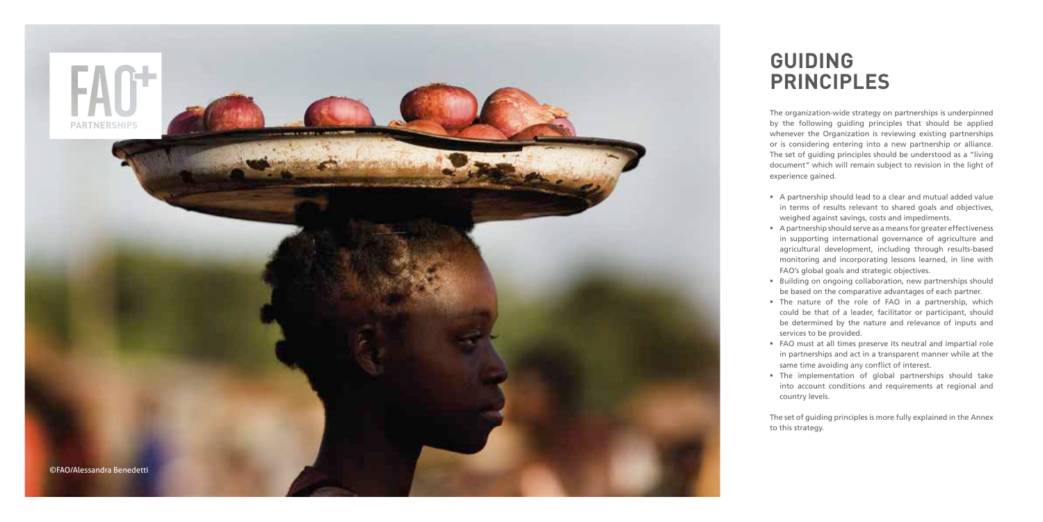The organization-wide strategy on partnerships is underpinned by the following guiding principles that should be applied whenever the Organization is reviewing existing partnerships or is considering entering into a new partnership or alliance. The set of guiding principles should be understood as a "living document" which will remain subject to revision in the light of experience gained.

 A partnership should lead to a clear and mutual added value in terms of results relevant to shared goals and objectives, weighed against savings, costs and impediments.

**Building on ongoing collaboration, new partnerships should** be based on the comparative advantages of each partner.

 A partnership should serve as a means for greater effectiveness in supporting international governance of agriculture and agricultural development, including through results-based monitoring and incorporating lessons learned, in line with FAO's global goals and strategic objectives.

 The nature of the role of FAO in a partnership, which could be that of a leader, facilitator or participant, should be determined by the nature and relevance of inputs and services to be provided.

 FAO must at all times preserve its neutral and impartial role in partnerships and act in a transparent manner while at the same time avoiding any conflict of interest.

 The implementation of global partnerships should take into account conditions and requirements at regional and country levels.

The set of guiding principles is more fully explained in the Annex to this strategy.

## **GUIDING PRINCIPLES**